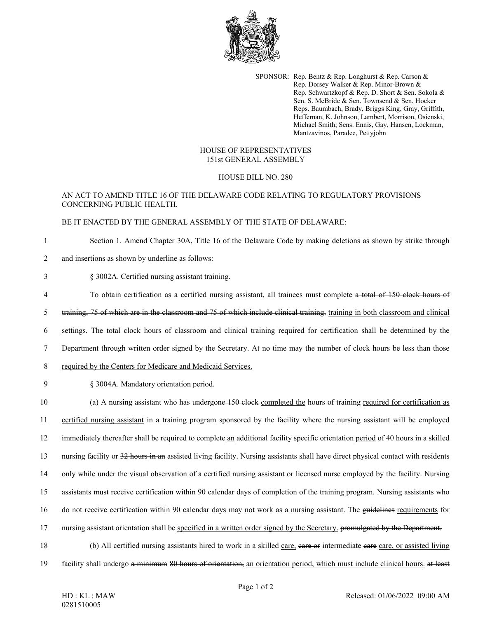

SPONSOR: Rep. Bentz & Rep. Longhurst & Rep. Carson & Rep. Dorsey Walker & Rep. Minor-Brown & Rep. Schwartzkopf & Rep. D. Short & Sen. Sokola & Sen. S. McBride & Sen. Townsend & Sen. Hocker Reps. Baumbach, Brady, Briggs King, Gray, Griffith, Heffernan, K. Johnson, Lambert, Morrison, Osienski, Michael Smith; Sens. Ennis, Gay, Hansen, Lockman, Mantzavinos, Paradee, Pettyjohn

## HOUSE OF REPRESENTATIVES 151st GENERAL ASSEMBLY

## HOUSE BILL NO. 280

# AN ACT TO AMEND TITLE 16 OF THE DELAWARE CODE RELATING TO REGULATORY PROVISIONS CONCERNING PUBLIC HEALTH.

#### BE IT ENACTED BY THE GENERAL ASSEMBLY OF THE STATE OF DELAWARE:

1 Section 1. Amend Chapter 30A, Title 16 of the Delaware Code by making deletions as shown by strike through

- 2 and insertions as shown by underline as follows:
- 3 § 3002A. Certified nursing assistant training.
- 4 To obtain certification as a certified nursing assistant, all trainees must complete a total of 150 clock hours of
- 5 training, 75 of which are in the classroom and 75 of which include clinical training. training in both classroom and clinical
- 6 settings. The total clock hours of classroom and clinical training required for certification shall be determined by the
- 7 Department through written order signed by the Secretary. At no time may the number of clock hours be less than those
- 8 required by the Centers for Medicare and Medicaid Services.
- 9 § 3004A. Mandatory orientation period.

10 (a) A nursing assistant who has undergone 150 clock completed the hours of training required for certification as 11 certified nursing assistant in a training program sponsored by the facility where the nursing assistant will be employed 12 immediately thereafter shall be required to complete an additional facility specific orientation period of 40 hours in a skilled 13 nursing facility or 32 hours in an assisted living facility. Nursing assistants shall have direct physical contact with residents 14 only while under the visual observation of a certified nursing assistant or licensed nurse employed by the facility. Nursing 15 assistants must receive certification within 90 calendar days of completion of the training program. Nursing assistants who 16 do not receive certification within 90 calendar days may not work as a nursing assistant. The guidelines requirements for 17 nursing assistant orientation shall be specified in a written order signed by the Secretary. promulgated by the Department. 18 (b) All certified nursing assistants hired to work in a skilled care, care or intermediate eare care, or assisted living

19 facility shall undergo a minimum 80 hours of orientation, an orientation period, which must include clinical hours. at least